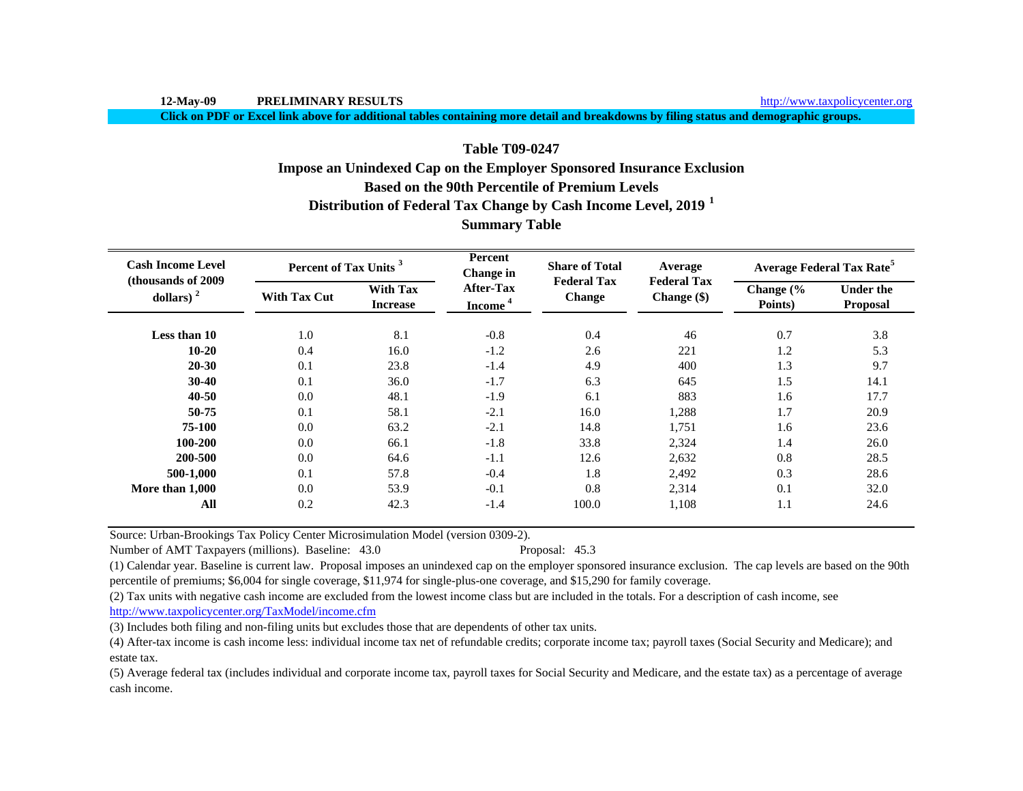**Click on PDF or Excel link above for additional tables containing more detail and breakdowns by filing status and demographic groups.**

# **Based on the 90th Percentile of Premium LevelsTable T09-0247Impose an Unindexed Cap on the Employer Sponsored Insurance Exclusion**

**Distribution of Federal Tax Change by Cash Income Level, 2019 <sup>1</sup>**

| <b>Summary Table</b> |  |
|----------------------|--|
|----------------------|--|

| <b>Cash Income Level</b><br>(thousands of 2009) | Percent of Tax Units <sup>3</sup> |                                    | Percent<br>Change in                    | <b>Share of Total</b>        | Average                           | <b>Average Federal Tax Rate<sup>5</sup></b> |                              |  |
|-------------------------------------------------|-----------------------------------|------------------------------------|-----------------------------------------|------------------------------|-----------------------------------|---------------------------------------------|------------------------------|--|
| dollars) $2$                                    | <b>With Tax Cut</b>               | <b>With Tax</b><br><b>Increase</b> | <b>After-Tax</b><br>Income <sup>4</sup> | <b>Federal Tax</b><br>Change | <b>Federal Tax</b><br>Change (\$) | Change (%<br>Points)                        | <b>Under the</b><br>Proposal |  |
| Less than 10                                    | 1.0                               | 8.1                                | $-0.8$                                  | 0.4                          | 46                                | 0.7                                         | 3.8                          |  |
| $10 - 20$                                       | 0.4                               | 16.0                               | $-1.2$                                  | 2.6                          | 221                               | 1.2                                         | 5.3                          |  |
| $20 - 30$                                       | 0.1                               | 23.8                               | $-1.4$                                  | 4.9                          | 400                               | 1.3                                         | 9.7                          |  |
| $30 - 40$                                       | 0.1                               | 36.0                               | $-1.7$                                  | 6.3                          | 645                               | 1.5                                         | 14.1                         |  |
| $40 - 50$                                       | 0.0                               | 48.1                               | $-1.9$                                  | 6.1                          | 883                               | 1.6                                         | 17.7                         |  |
| 50-75                                           | 0.1                               | 58.1                               | $-2.1$                                  | 16.0                         | 1,288                             | 1.7                                         | 20.9                         |  |
| 75-100                                          | 0.0                               | 63.2                               | $-2.1$                                  | 14.8                         | 1,751                             | 1.6                                         | 23.6                         |  |
| 100-200                                         | 0.0                               | 66.1                               | $-1.8$                                  | 33.8                         | 2,324                             | 1.4                                         | 26.0                         |  |
| 200-500                                         | 0.0                               | 64.6                               | $-1.1$                                  | 12.6                         | 2,632                             | 0.8                                         | 28.5                         |  |
| 500-1,000                                       | 0.1                               | 57.8                               | $-0.4$                                  | 1.8                          | 2,492                             | 0.3                                         | 28.6                         |  |
| More than 1,000                                 | 0.0                               | 53.9                               | $-0.1$                                  | 0.8                          | 2,314                             | 0.1                                         | 32.0                         |  |
| All                                             | 0.2                               | 42.3                               | $-1.4$                                  | 100.0                        | 1,108                             | 1.1                                         | 24.6                         |  |

Source: Urban-Brookings Tax Policy Center Microsimulation Model (version 0309-2).

Number of AMT Taxpayers (millions). Baseline: 43.0 Proposal: 45.3

(1) Calendar year. Baseline is current law. Proposal imposes an unindexed cap on the employer sponsored insurance exclusion. The cap levels are based on the 90th percentile of premiums; \$6,004 for single coverage, \$11,974 for single-plus-one coverage, and \$15,290 for family coverage.

(2) Tax units with negative cash income are excluded from the lowest income class but are included in the totals. For a description of cash income, see

http://www.taxpolicycenter.org/TaxModel/income.cfm

(3) Includes both filing and non-filing units but excludes those that are dependents of other tax units.

(4) After-tax income is cash income less: individual income tax net of refundable credits; corporate income tax; payroll taxes (Social Security and Medicare); and estate tax.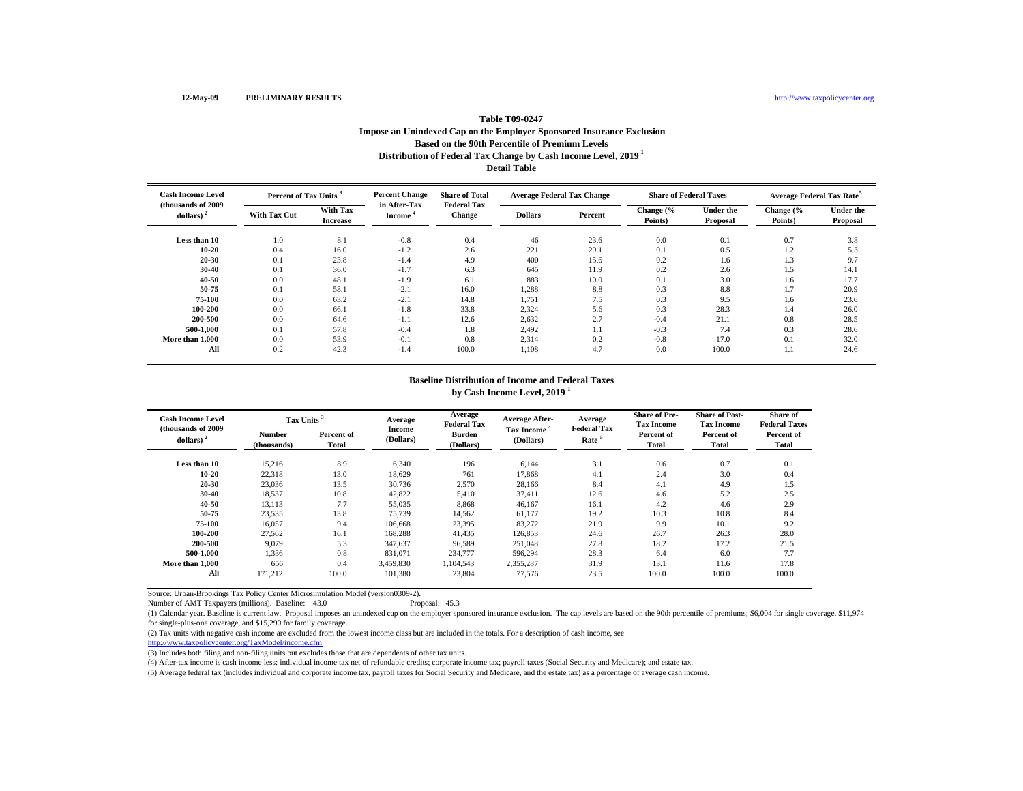# **Distribution of Federal Tax Change by Cash Income Level, 2019 1 Detail Table Table T09-0247Impose an Unindexed Cap on the Employer Sponsored Insurance Exclusion Based on the 90th Percentile of Premium Levels**

| <b>Cash Income Level</b><br>(thousands of 2009) | Percent of Tax Units <sup>3</sup> |                             | <b>Percent Change</b><br>in After-Tax | <b>Share of Total</b><br><b>Federal Tax</b> |                | <b>Average Federal Tax Change</b> | <b>Share of Federal Taxes</b> |                              | <b>Average Federal Tax Rate<sup>5</sup></b> |                       |
|-------------------------------------------------|-----------------------------------|-----------------------------|---------------------------------------|---------------------------------------------|----------------|-----------------------------------|-------------------------------|------------------------------|---------------------------------------------|-----------------------|
| dollars) $2$                                    | <b>With Tax Cut</b>               | With Tax<br><b>Increase</b> | Income <sup>*</sup>                   | <b>Change</b>                               | <b>Dollars</b> | Percent                           | Change (%<br>Points)          | <b>Under the</b><br>Proposal | Change (%<br>Points)                        | Under the<br>Proposal |
| Less than 10                                    | 1.0                               | 8.1                         | $-0.8$                                | 0.4                                         | 46             | 23.6                              | 0.0                           | 0.1                          | 0.7                                         | 3.8                   |
| $10 - 20$                                       | 0.4                               | 16.0                        | $-1.2$                                | 2.6                                         | 221            | 29.1                              | 0.1                           | 0.5                          | 1.2                                         | 5.3                   |
| $20 - 30$                                       | 0.1                               | 23.8                        | $-1.4$                                | 4.9                                         | 400            | 15.6                              | 0.2                           | 1.6                          | 1.3                                         | 9.7                   |
| 30-40                                           | 0.1                               | 36.0                        | $-1.7$                                | 6.3                                         | 645            | 11.9                              | 0.2                           | 2.6                          | 1.5                                         | 14.1                  |
| $40 - 50$                                       | 0.0                               | 48.1                        | $-1.9$                                | 6.1                                         | 883            | 10.0                              | 0.1                           | 3.0                          | 1.6                                         | 17.7                  |
| 50-75                                           | 0.1                               | 58.1                        | $-2.1$                                | 16.0                                        | 1,288          | 8.8                               | 0.3                           | 8.8                          | 1.7                                         | 20.9                  |
| 75-100                                          | 0.0                               | 63.2                        | $-2.1$                                | 14.8                                        | 1,751          | 7.5                               | 0.3                           | 9.5                          | 1.6                                         | 23.6                  |
| 100-200                                         | 0.0                               | 66.1                        | $-1.8$                                | 33.8                                        | 2,324          | 5.6                               | 0.3                           | 28.3                         | 1.4                                         | 26.0                  |
| 200-500                                         | 0.0                               | 64.6                        | $-1.1$                                | 12.6                                        | 2,632          | 2.7                               | $-0.4$                        | 21.1                         | 0.8                                         | 28.5                  |
| 500-1.000                                       | 0.1                               | 57.8                        | $-0.4$                                | 1.8                                         | 2.492          | 1.1                               | $-0.3$                        | 7.4                          | 0.3                                         | 28.6                  |
| More than 1,000                                 | 0.0                               | 53.9                        | $-0.1$                                | 0.8                                         | 2,314          | 0.2                               | $-0.8$                        | 17.0                         | 0.1                                         | 32.0                  |
| All                                             | 0.2                               | 42.3                        | $-1.4$                                | 100.0                                       | 1.108          | 4.7                               | 0.0                           | 100.0                        | 1.1                                         | 24.6                  |

#### **Baseline Distribution of Income and Federal Taxes by Cash Income Level, 2019 <sup>1</sup>**

| <b>Cash Income Level</b><br>(thousands of 2009) | Tax Units <sup>3</sup>       |                     | Average<br><b>Income</b> | Average<br><b>Federal Tax</b> | <b>Average After-</b>                | Average<br><b>Federal Tax</b> | <b>Share of Pre-</b><br><b>Tax Income</b> | <b>Share of Post-</b><br><b>Tax Income</b> | Share of<br><b>Federal Taxes</b> |
|-------------------------------------------------|------------------------------|---------------------|--------------------------|-------------------------------|--------------------------------------|-------------------------------|-------------------------------------------|--------------------------------------------|----------------------------------|
| dollars) $2$                                    | <b>Number</b><br>(thousands) | Percent of<br>Total | (Dollars)                | Burden<br>(Dollars)           | Tax Income <sup>4</sup><br>(Dollars) | Rate <sup>5</sup>             | Percent of<br>Total                       | Percent of<br>Total                        | Percent of<br>Total              |
| Less than 10                                    | 15,216                       | 8.9                 | 6,340                    | 196                           | 6,144                                | 3.1                           | 0.6                                       | 0.7                                        | 0.1                              |
| $10 - 20$                                       | 22,318                       | 13.0                | 18,629                   | 761                           | 17,868                               | 4.1                           | 2.4                                       | 3.0                                        | 0.4                              |
| 20-30                                           | 23,036                       | 13.5                | 30,736                   | 2,570                         | 28,166                               | 8.4                           | 4.1                                       | 4.9                                        | 1.5                              |
| 30-40                                           | 18,537                       | 10.8                | 42,822                   | 5,410                         | 37,411                               | 12.6                          | 4.6                                       | 5.2                                        | 2.5                              |
| 40-50                                           | 13,113                       | 7.7                 | 55,035                   | 8,868                         | 46,167                               | 16.1                          | 4.2                                       | 4.6                                        | 2.9                              |
| 50-75                                           | 23,535                       | 13.8                | 75,739                   | 14,562                        | 61,177                               | 19.2                          | 10.3                                      | 10.8                                       | 8.4                              |
| 75-100                                          | 16,057                       | 9.4                 | 106,668                  | 23,395                        | 83,272                               | 21.9                          | 9.9                                       | 10.1                                       | 9.2                              |
| 100-200                                         | 27,562                       | 16.1                | 168,288                  | 41,435                        | 126,853                              | 24.6                          | 26.7                                      | 26.3                                       | 28.0                             |
| 200-500                                         | 9.079                        | 5.3                 | 347,637                  | 96,589                        | 251,048                              | 27.8                          | 18.2                                      | 17.2                                       | 21.5                             |
| 500-1.000                                       | 1.336                        | 0.8                 | 831,071                  | 234,777                       | 596.294                              | 28.3                          | 6.4                                       | 6.0                                        | 7.7                              |
| More than 1,000                                 | 656                          | 0.4                 | 3.459.830                | 1.104.543                     | 2.355.287                            | 31.9                          | 13.1                                      | 11.6                                       | 17.8                             |
| All                                             | 171.212                      | 100.0               | 101,380                  | 23,804                        | 77,576                               | 23.5                          | 100.0                                     | 100.0                                      | 100.0                            |

Source: Urban-Brookings Tax Policy Center Microsimulation Model (version0309-2).

Number of AMT Taxpayers (millions). Baseline: 43.0

(1) Calendar year. Baseline is current law. Proposal imposes an unindexed cap on the employer sponsored insurance exclusion. The cap levels are based on the 90th percentile of premiums; \$6,004 for single coverage, \$11,974 for single-plus-one coverage, and \$15,290 for family coverage.

(2) Tax units with negative cash income are excluded from the lowest income class but are included in the totals. For a description of cash income, see

http://www.taxpolicycenter.org/TaxModel/income.cfm

(3) Includes both filing and non-filing units but excludes those that are dependents of other tax units.

(4) After-tax income is cash income less: individual income tax net of refundable credits; corporate income tax; payroll taxes (Social Security and Medicare); and estate tax.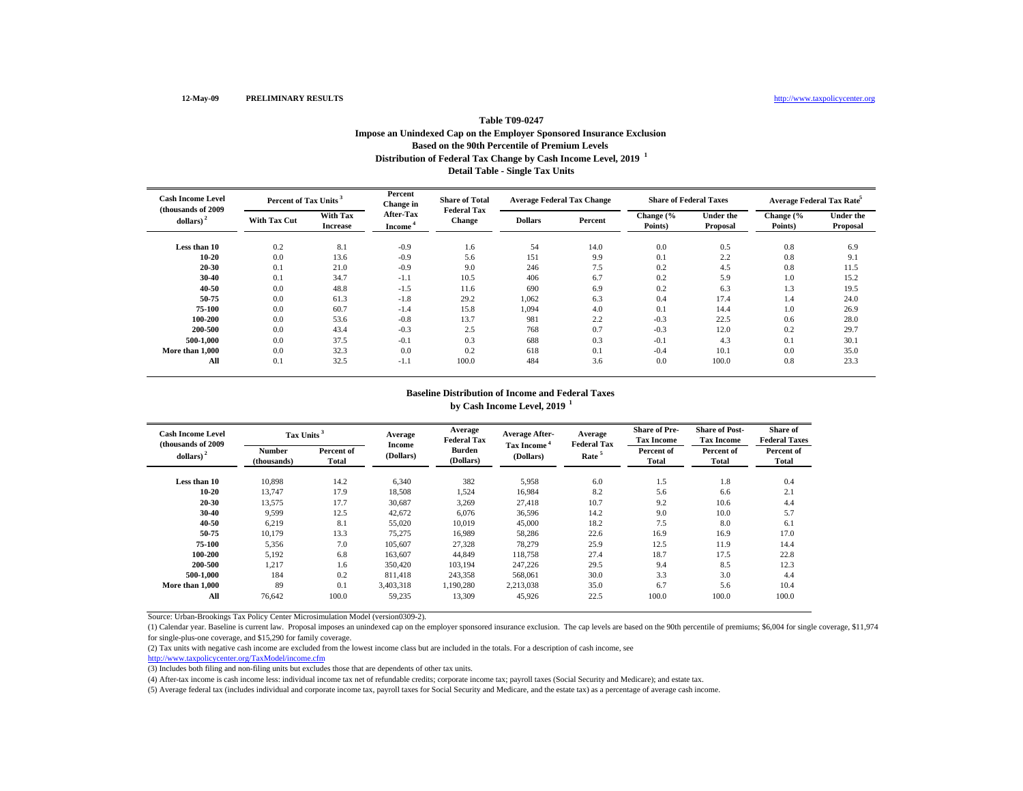## **Distribution of Federal Tax Change by Cash Income Level, 2019 <sup>1</sup> Detail Table - Single Tax Units Table T09-0247 Impose an Unindexed Cap on the Employer Sponsored Insurance Exclusion Based on the 90th Percentile of Premium Levels**

| <b>Cash Income Level</b><br>(thousands of 2009) |                     | Percent of Tax Units <sup>3</sup> |                                         | <b>Share of Total</b> | <b>Average Federal Tax Change</b><br><b>Federal Tax</b> |         |                      | <b>Share of Federal Taxes</b> | Average Federal Tax Rate <sup>5</sup> |                              |
|-------------------------------------------------|---------------------|-----------------------------------|-----------------------------------------|-----------------------|---------------------------------------------------------|---------|----------------------|-------------------------------|---------------------------------------|------------------------------|
| dollars) <sup>2</sup>                           | <b>With Tax Cut</b> | With Tax<br><b>Increase</b>       | <b>After-Tax</b><br>Income <sup>-</sup> | <b>Change</b>         | <b>Dollars</b>                                          | Percent | Change (%<br>Points) | <b>Under the</b><br>Proposal  | Change (%<br>Points)                  | <b>Under the</b><br>Proposal |
| Less than 10                                    | 0.2                 | 8.1                               | $-0.9$                                  | 1.6                   | 54                                                      | 14.0    | 0.0                  | 0.5                           | 0.8                                   | 6.9                          |
| $10 - 20$                                       | 0.0                 | 13.6                              | $-0.9$                                  | 5.6                   | 151                                                     | 9.9     | 0.1                  | 2.2                           | 0.8                                   | 9.1                          |
| 20-30                                           | 0.1                 | 21.0                              | $-0.9$                                  | 9.0                   | 246                                                     | 7.5     | 0.2                  | 4.5                           | 0.8                                   | 11.5                         |
| 30-40                                           | 0.1                 | 34.7                              | $-1.1$                                  | 10.5                  | 406                                                     | 6.7     | 0.2                  | 5.9                           | 1.0                                   | 15.2                         |
| 40-50                                           | 0.0                 | 48.8                              | $-1.5$                                  | 11.6                  | 690                                                     | 6.9     | 0.2                  | 6.3                           | 1.3                                   | 19.5                         |
| 50-75                                           | 0.0                 | 61.3                              | $-1.8$                                  | 29.2                  | 1,062                                                   | 6.3     | 0.4                  | 17.4                          | 1.4                                   | 24.0                         |
| 75-100                                          | 0.0                 | 60.7                              | $-1.4$                                  | 15.8                  | 1,094                                                   | 4.0     | 0.1                  | 14.4                          | 1.0                                   | 26.9                         |
| 100-200                                         | 0.0                 | 53.6                              | $-0.8$                                  | 13.7                  | 981                                                     | 2.2     | $-0.3$               | 22.5                          | 0.6                                   | 28.0                         |
| 200-500                                         | 0.0                 | 43.4                              | $-0.3$                                  | 2.5                   | 768                                                     | 0.7     | $-0.3$               | 12.0                          | 0.2                                   | 29.7                         |
| 500-1.000                                       | 0.0                 | 37.5                              | $-0.1$                                  | 0.3                   | 688                                                     | 0.3     | $-0.1$               | 4.3                           | 0.1                                   | 30.1                         |
| More than 1,000                                 | 0.0                 | 32.3                              | 0.0                                     | 0.2                   | 618                                                     | 0.1     | $-0.4$               | 10.1                          | 0.0                                   | 35.0                         |
| All                                             | 0.1                 | 32.5                              | $-1.1$                                  | 100.0                 | 484                                                     | 3.6     | 0.0                  | 100.0                         | 0.8                                   | 23.3                         |

## **Baseline Distribution of Income and Federal Taxes by Cash Income Level, 2019 <sup>1</sup>**

| <b>Cash Income Level</b> | Tax Units <sup>3</sup><br>(thousands of 2009) |                     | Average<br>Average<br><b>Federal Tax</b> |                     | <b>Average After-</b>                | Average<br><b>Federal Tax</b>                   | <b>Share of Pre-</b><br><b>Tax Income</b> | <b>Share of Post-</b><br><b>Tax Income</b> | <b>Share of</b><br><b>Federal Taxes</b> |
|--------------------------|-----------------------------------------------|---------------------|------------------------------------------|---------------------|--------------------------------------|-------------------------------------------------|-------------------------------------------|--------------------------------------------|-----------------------------------------|
| dollars) <sup>2</sup>    | <b>Number</b><br>(thousands)                  | Percent of<br>Total | Income<br>(Dollars)                      | Burden<br>(Dollars) | Tax Income <sup>*</sup><br>(Dollars) | Percent of<br>Rate <sup>5</sup><br><b>Total</b> |                                           | Percent of<br>Total                        | Percent of<br><b>Total</b>              |
| Less than 10             | 10.898                                        | 14.2                | 6,340                                    | 382                 | 5,958                                | 6.0                                             | 1.5                                       | 1.8                                        | 0.4                                     |
| 10-20                    | 13,747                                        | 17.9                | 18,508                                   | 1,524               | 16,984                               | 8.2                                             | 5.6                                       | 6.6                                        | 2.1                                     |
| 20-30                    | 13,575                                        | 17.7                | 30,687                                   | 3,269               | 27.418                               | 10.7                                            | 9.2                                       | 10.6                                       | 4.4                                     |
| 30-40                    | 9,599                                         | 12.5                | 42,672                                   | 6,076               | 36,596                               | 14.2                                            | 9.0                                       | 10.0                                       | 5.7                                     |
| 40-50                    | 6,219                                         | 8.1                 | 55,020                                   | 10,019              | 45,000                               | 18.2                                            | 7.5                                       | 8.0                                        | 6.1                                     |
| 50-75                    | 10,179                                        | 13.3                | 75,275                                   | 16,989              | 58,286                               | 22.6                                            | 16.9                                      | 16.9                                       | 17.0                                    |
| 75-100                   | 5.356                                         | 7.0                 | 105,607                                  | 27.328              | 78.279                               | 25.9                                            | 12.5                                      | 11.9                                       | 14.4                                    |
| 100-200                  | 5,192                                         | 6.8                 | 163,607                                  | 44,849              | 118.758                              | 27.4                                            | 18.7                                      | 17.5                                       | 22.8                                    |
| 200-500                  | 1,217                                         | 1.6                 | 350,420                                  | 103,194             | 247,226                              | 29.5                                            | 9.4                                       | 8.5                                        | 12.3                                    |
| 500-1.000                | 184                                           | 0.2                 | 811,418                                  | 243,358             | 568,061                              | 30.0                                            | 3.3                                       | 3.0                                        | 4.4                                     |
| More than 1,000          | 89                                            | 0.1                 | 3,403,318                                | 1,190,280           | 2,213,038                            | 35.0                                            | 6.7                                       | 5.6                                        | 10.4                                    |
| All                      | 76.642                                        | 100.0               | 59,235                                   | 13,309              | 45.926                               | 22.5                                            | 100.0                                     | 100.0                                      | 100.0                                   |

Source: Urban-Brookings Tax Policy Center Microsimulation Model (version0309-2).

(1) Calendar year. Baseline is current law. Proposal imposes an unindexed cap on the employer sponsored insurance exclusion. The cap levels are based on the 90th percentile of premiums; \$6,004 for single coverage, \$11,974 for single-plus-one coverage, and \$15,290 for family coverage.

(2) Tax units with negative cash income are excluded from the lowest income class but are included in the totals. For a description of cash income, see

http://www.taxpolicycenter.org/TaxModel/income.cfm

(3) Includes both filing and non-filing units but excludes those that are dependents of other tax units.

(4) After-tax income is cash income less: individual income tax net of refundable credits; corporate income tax; payroll taxes (Social Security and Medicare); and estate tax.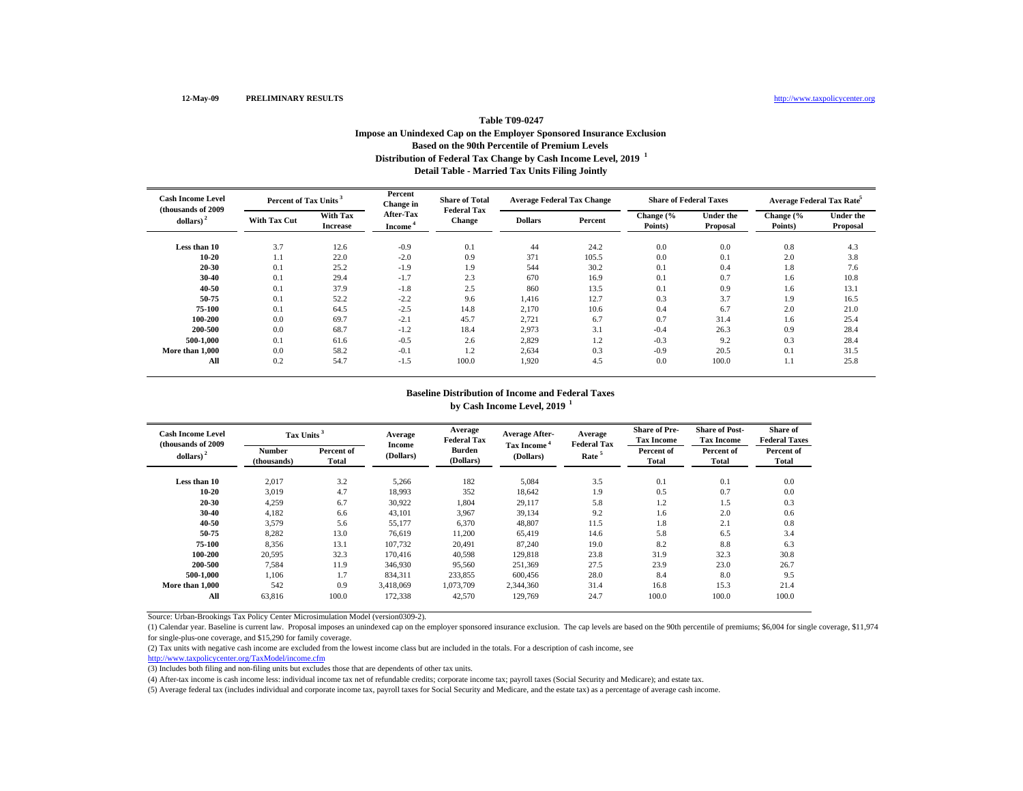## **Distribution of Federal Tax Change by Cash Income Level, 2019 <sup>1</sup> Detail Table - Married Tax Units Filing Jointly Table T09-0247 Impose an Unindexed Cap on the Employer Sponsored Insurance Exclusion Based on the 90th Percentile of Premium Levels**

| <b>Cash Income Level</b>           | Percent of Tax Units <sup>3</sup><br>(thousands of 2009) |                             | Percent<br>Change in                    | <b>Share of Total</b>               |                | <b>Average Federal Tax Change</b> | <b>Share of Federal Taxes</b> |                              | Average Federal Tax Rate <sup>5</sup> |                              |
|------------------------------------|----------------------------------------------------------|-----------------------------|-----------------------------------------|-------------------------------------|----------------|-----------------------------------|-------------------------------|------------------------------|---------------------------------------|------------------------------|
| $\leftdollars\right>$ <sup>2</sup> | <b>With Tax Cut</b>                                      | With Tax<br><b>Increase</b> | <b>After-Tax</b><br>Income <sup>®</sup> | <b>Federal Tax</b><br><b>Change</b> | <b>Dollars</b> | Percent                           | Change (%<br>Points)          | <b>Under the</b><br>Proposal | Change (%<br>Points)                  | <b>Under the</b><br>Proposal |
| Less than 10                       | 3.7                                                      | 12.6                        | $-0.9$                                  | 0.1                                 | 44             | 24.2                              | 0.0                           | 0.0                          | 0.8                                   | 4.3                          |
| $10 - 20$                          | 1.1                                                      | 22.0                        | $-2.0$                                  | 0.9                                 | 371            | 105.5                             | 0.0                           | 0.1                          | 2.0                                   | 3.8                          |
| 20-30                              | 0.1                                                      | 25.2                        | $-1.9$                                  | 1.9                                 | 544            | 30.2                              | 0.1                           | 0.4                          | 1.8                                   | 7.6                          |
| 30-40                              | 0.1                                                      | 29.4                        | $-1.7$                                  | 2.3                                 | 670            | 16.9                              | 0.1                           | 0.7                          | 1.6                                   | 10.8                         |
| 40-50                              | 0.1                                                      | 37.9                        | $-1.8$                                  | 2.5                                 | 860            | 13.5                              | 0.1                           | 0.9                          | 1.6                                   | 13.1                         |
| 50-75                              | 0.1                                                      | 52.2                        | $-2.2$                                  | 9.6                                 | 1,416          | 12.7                              | 0.3                           | 3.7                          | 1.9                                   | 16.5                         |
| 75-100                             | 0.1                                                      | 64.5                        | $-2.5$                                  | 14.8                                | 2,170          | 10.6                              | 0.4                           | 6.7                          | 2.0                                   | 21.0                         |
| 100-200                            | 0.0                                                      | 69.7                        | $-2.1$                                  | 45.7                                | 2,721          | 6.7                               | 0.7                           | 31.4                         | 1.6                                   | 25.4                         |
| 200-500                            | 0.0                                                      | 68.7                        | $-1.2$                                  | 18.4                                | 2,973          | 3.1                               | $-0.4$                        | 26.3                         | 0.9                                   | 28.4                         |
| 500-1.000                          | 0.1                                                      | 61.6                        | $-0.5$                                  | 2.6                                 | 2,829          | 1.2                               | $-0.3$                        | 9.2                          | 0.3                                   | 28.4                         |
| More than 1,000                    | 0.0                                                      | 58.2                        | $-0.1$                                  | 1.2                                 | 2,634          | 0.3                               | $-0.9$                        | 20.5                         | 0.1                                   | 31.5                         |
| All                                | 0.2                                                      | 54.7                        | $-1.5$                                  | 100.0                               | 1,920          | 4.5                               | 0.0                           | 100.0                        | 1.1                                   | 25.8                         |

#### **Baseline Distribution of Income and Federal Taxes by Cash Income Level, 2019 <sup>1</sup>**

| <b>Cash Income Level</b> | Tax Units <sup>3</sup><br>(thousands of 2009) |            | Average<br>Average<br><b>Federal Tax</b> |           | <b>Average After-</b><br>Tax Income <sup>4</sup> | Average<br><b>Federal Tax</b> | <b>Share of Pre-</b><br><b>Tax Income</b> | <b>Share of Post-</b><br><b>Tax Income</b> | <b>Share of</b><br><b>Federal Taxes</b> |
|--------------------------|-----------------------------------------------|------------|------------------------------------------|-----------|--------------------------------------------------|-------------------------------|-------------------------------------------|--------------------------------------------|-----------------------------------------|
| dollars) <sup>2</sup>    | Number                                        | Percent of | Income                                   | Burden    | Rate <sup>5</sup>                                |                               | Percent of                                | Percent of                                 | Percent of                              |
|                          | (thousands)                                   | Total      | (Dollars)                                | (Dollars) | (Dollars)                                        |                               | Total                                     | Total                                      | Total                                   |
| Less than 10             | 2,017                                         | 3.2        | 5,266                                    | 182       | 5,084                                            | 3.5                           | 0.1                                       | 0.1                                        | 0.0                                     |
| 10-20                    | 3,019                                         | 4.7        | 18,993                                   | 352       | 18,642                                           | 1.9                           | 0.5                                       | 0.7                                        | 0.0                                     |
| 20-30                    | 4,259                                         | 6.7        | 30,922                                   | 1,804     | 29.117                                           | 5.8                           | 1.2                                       | 1.5                                        | 0.3                                     |
| 30-40                    | 4,182                                         | 6.6        | 43,101                                   | 3,967     | 39,134                                           | 9.2                           | 1.6                                       | 2.0                                        | 0.6                                     |
| 40-50                    | 3,579                                         | 5.6        | 55,177                                   | 6,370     | 48,807                                           | 11.5                          | 1.8                                       | 2.1                                        | 0.8                                     |
| 50-75                    | 8,282                                         | 13.0       | 76,619                                   | 11,200    | 65,419                                           | 14.6                          | 5.8                                       | 6.5                                        | 3.4                                     |
| 75-100                   | 8.356                                         | 13.1       | 107.732                                  | 20.491    | 87.240                                           | 19.0                          | 8.2                                       | 8.8                                        | 6.3                                     |
| 100-200                  | 20.595                                        | 32.3       | 170,416                                  | 40.598    | 129.818                                          | 23.8                          | 31.9                                      | 32.3                                       | 30.8                                    |
| 200-500                  | 7,584                                         | 11.9       | 346,930                                  | 95,560    | 251,369                                          | 27.5                          | 23.9                                      | 23.0                                       | 26.7                                    |
| 500-1.000                | 1,106                                         | 1.7        | 834,311                                  | 233,855   | 600,456                                          | 28.0                          | 8.4                                       | 8.0                                        | 9.5                                     |
| More than 1.000          | 542                                           | 0.9        | 3,418,069                                | 1,073,709 | 2,344,360                                        | 31.4                          | 16.8                                      | 15.3                                       | 21.4                                    |
| All                      | 63.816                                        | 100.0      | 172,338                                  | 42,570    | 129.769                                          | 24.7                          | 100.0                                     | 100.0                                      | 100.0                                   |

Source: Urban-Brookings Tax Policy Center Microsimulation Model (version0309-2).

(1) Calendar year. Baseline is current law. Proposal imposes an unindexed cap on the employer sponsored insurance exclusion. The cap levels are based on the 90th percentile of premiums; \$6,004 for single coverage, \$11,974 for single-plus-one coverage, and \$15,290 for family coverage.

(2) Tax units with negative cash income are excluded from the lowest income class but are included in the totals. For a description of cash income, see

http://www.taxpolicycenter.org/TaxModel/income.cfm

(3) Includes both filing and non-filing units but excludes those that are dependents of other tax units.

(4) After-tax income is cash income less: individual income tax net of refundable credits; corporate income tax; payroll taxes (Social Security and Medicare); and estate tax.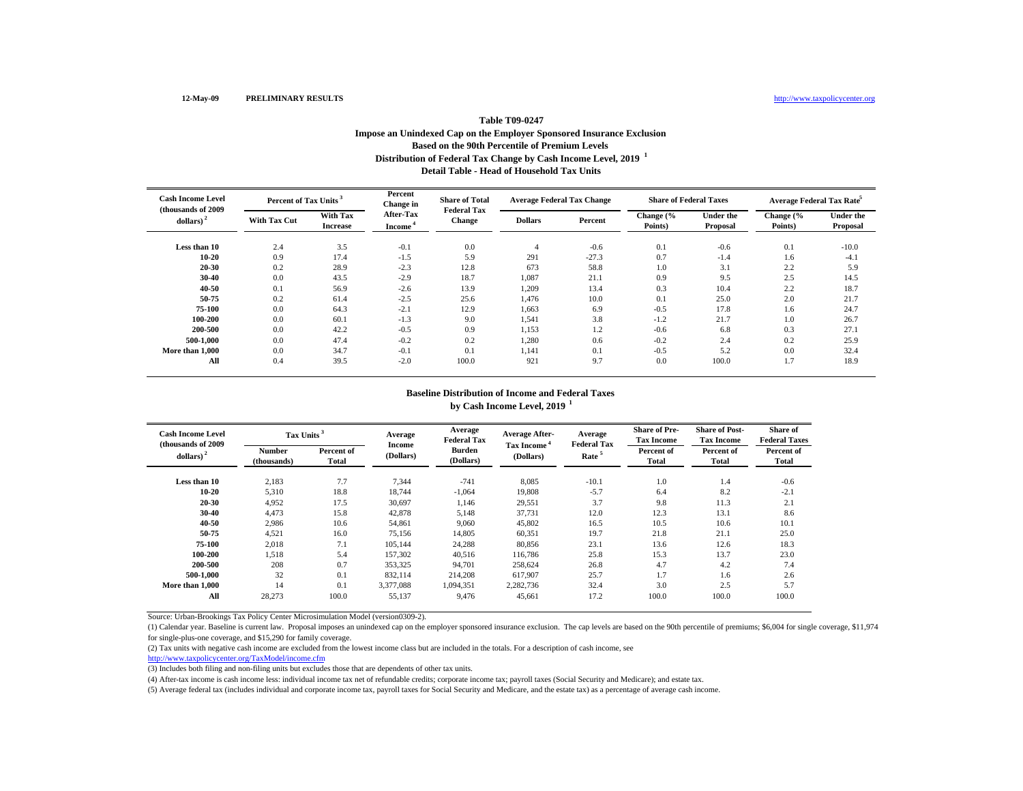## **Distribution of Federal Tax Change by Cash Income Level, 2019 <sup>1</sup> Detail Table - Head of Household Tax UnitsTable T09-0247 Impose an Unindexed Cap on the Employer Sponsored Insurance Exclusion Based on the 90th Percentile of Premium Levels**

| <b>Cash Income Level</b><br>(thousands of 2009) |                     | Percent of Tax Units <sup>3</sup> |                     | <b>Share of Total</b><br><b>Federal Tax</b> |                | <b>Average Federal Tax Change</b> | <b>Share of Federal Taxes</b> |                              | Average Federal Tax Rate <sup>5</sup> |                              |  |
|-------------------------------------------------|---------------------|-----------------------------------|---------------------|---------------------------------------------|----------------|-----------------------------------|-------------------------------|------------------------------|---------------------------------------|------------------------------|--|
| dollars) <sup>2</sup>                           | <b>With Tax Cut</b> | With Tax<br><b>Increase</b>       | After-Tax<br>Income | <b>Change</b>                               | <b>Dollars</b> | Percent                           | Change (%<br>Points)          | <b>Under the</b><br>Proposal | Change (%<br>Points)                  | <b>Under the</b><br>Proposal |  |
| Less than 10                                    | 2.4                 | 3.5                               | $-0.1$              | 0.0                                         |                | $-0.6$                            | 0.1                           | $-0.6$                       | 0.1                                   | $-10.0$                      |  |
| $10 - 20$                                       | 0.9                 | 17.4                              | $-1.5$              | 5.9                                         | 291            | $-27.3$                           | 0.7                           | $-1.4$                       | 1.6                                   | $-4.1$                       |  |
| 20-30                                           | 0.2                 | 28.9                              | $-2.3$              | 12.8                                        | 673            | 58.8                              | 1.0                           | 3.1                          | 2.2                                   | 5.9                          |  |
| 30-40                                           | 0.0                 | 43.5                              | $-2.9$              | 18.7                                        | 1,087          | 21.1                              | 0.9                           | 9.5                          | 2.5                                   | 14.5                         |  |
| 40-50                                           | 0.1                 | 56.9                              | $-2.6$              | 13.9                                        | 1,209          | 13.4                              | 0.3                           | 10.4                         | 2.2                                   | 18.7                         |  |
| 50-75                                           | 0.2                 | 61.4                              | $-2.5$              | 25.6                                        | 1,476          | 10.0                              | 0.1                           | 25.0                         | 2.0                                   | 21.7                         |  |
| 75-100                                          | 0.0                 | 64.3                              | $-2.1$              | 12.9                                        | 1,663          | 6.9                               | $-0.5$                        | 17.8                         | 1.6                                   | 24.7                         |  |
| 100-200                                         | 0.0                 | 60.1                              | $-1.3$              | 9.0                                         | 1,541          | 3.8                               | $-1.2$                        | 21.7                         | 1.0                                   | 26.7                         |  |
| 200-500                                         | 0.0                 | 42.2                              | $-0.5$              | 0.9                                         | 1,153          | 1.2                               | $-0.6$                        | 6.8                          | 0.3                                   | 27.1                         |  |
| 500-1.000                                       | 0.0                 | 47.4                              | $-0.2$              | 0.2                                         | 1,280          | 0.6                               | $-0.2$                        | 2.4                          | 0.2                                   | 25.9                         |  |
| More than 1,000                                 | 0.0                 | 34.7                              | $-0.1$              | 0.1                                         | 1,141          | 0.1                               | $-0.5$                        | 5.2                          | 0.0                                   | 32.4                         |  |
| All                                             | 0.4                 | 39.5                              | $-2.0$              | 100.0                                       | 921            | 9.7                               | 0.0                           | 100.0                        | 1.7                                   | 18.9                         |  |

## **Baseline Distribution of Income and Federal Taxes by Cash Income Level, 2019 <sup>1</sup>**

| <b>Cash Income Level</b> | Tax Units <sup>3</sup><br>(thousands of 2009) |                     | Average             | Average<br><b>Federal Tax</b> | <b>Average After-</b>                                     | Average<br><b>Federal Tax</b> | <b>Share of Pre-</b><br><b>Tax Income</b> | <b>Share of Post-</b><br><b>Tax Income</b> | <b>Share of</b><br><b>Federal Taxes</b> |
|--------------------------|-----------------------------------------------|---------------------|---------------------|-------------------------------|-----------------------------------------------------------|-------------------------------|-------------------------------------------|--------------------------------------------|-----------------------------------------|
| dollars) <sup>2</sup>    | <b>Number</b><br>(thousands)                  | Percent of<br>Total | Income<br>(Dollars) | Burden<br>(Dollars)           | Tax Income <sup>*</sup><br>Rate <sup>5</sup><br>(Dollars) |                               | Percent of<br><b>Total</b>                | Percent of<br>Total                        | Percent of<br><b>Total</b>              |
| Less than 10             | 2,183                                         | 7.7                 | 7,344               | $-741$                        | 8,085                                                     | $-10.1$                       | 1.0                                       | 1.4                                        | $-0.6$                                  |
| 10-20                    | 5,310                                         | 18.8                | 18,744              | $-1,064$                      | 19,808                                                    | $-5.7$                        | 6.4                                       | 8.2                                        | $-2.1$                                  |
| 20-30                    | 4,952                                         | 17.5                | 30,697              | 1,146                         | 29,551                                                    | 3.7                           | 9.8                                       | 11.3                                       | 2.1                                     |
| 30-40                    | 4,473                                         | 15.8                | 42,878              | 5,148                         | 37,731                                                    | 12.0                          | 12.3                                      | 13.1                                       | 8.6                                     |
| 40-50                    | 2,986                                         | 10.6                | 54,861              | 9,060                         | 45,802                                                    | 16.5                          | 10.5                                      | 10.6                                       | 10.1                                    |
| 50-75                    | 4,521                                         | 16.0                | 75,156              | 14,805                        | 60,351                                                    | 19.7                          | 21.8                                      | 21.1                                       | 25.0                                    |
| 75-100                   | 2.018                                         | 7.1                 | 105.144             | 24,288                        | 80.856                                                    | 23.1                          | 13.6                                      | 12.6                                       | 18.3                                    |
| 100-200                  | 1.518                                         | 5.4                 | 157,302             | 40.516                        | 116.786                                                   | 25.8                          | 15.3                                      | 13.7                                       | 23.0                                    |
| 200-500                  | 208                                           | 0.7                 | 353,325             | 94,701                        | 258,624                                                   | 26.8                          | 4.7                                       | 4.2                                        | 7.4                                     |
| 500-1.000                | 32                                            | 0.1                 | 832,114             | 214,208                       | 617,907                                                   | 25.7                          | 1.7                                       | 1.6                                        | 2.6                                     |
| More than 1,000          | 14                                            | 0.1                 | 3,377,088           | 1,094,351                     | 2,282,736                                                 | 32.4                          | 3.0                                       | 2.5                                        | 5.7                                     |
| All                      | 28,273                                        | 100.0               | 55,137              | 9.476                         | 45.661                                                    | 17.2                          | 100.0                                     | 100.0                                      | 100.0                                   |

Source: Urban-Brookings Tax Policy Center Microsimulation Model (version0309-2).

(1) Calendar year. Baseline is current law. Proposal imposes an unindexed cap on the employer sponsored insurance exclusion. The cap levels are based on the 90th percentile of premiums; \$6,004 for single coverage, \$11,974 for single-plus-one coverage, and \$15,290 for family coverage.

(2) Tax units with negative cash income are excluded from the lowest income class but are included in the totals. For a description of cash income, see

http://www.taxpolicycenter.org/TaxModel/income.cfm

(3) Includes both filing and non-filing units but excludes those that are dependents of other tax units.

(4) After-tax income is cash income less: individual income tax net of refundable credits; corporate income tax; payroll taxes (Social Security and Medicare); and estate tax.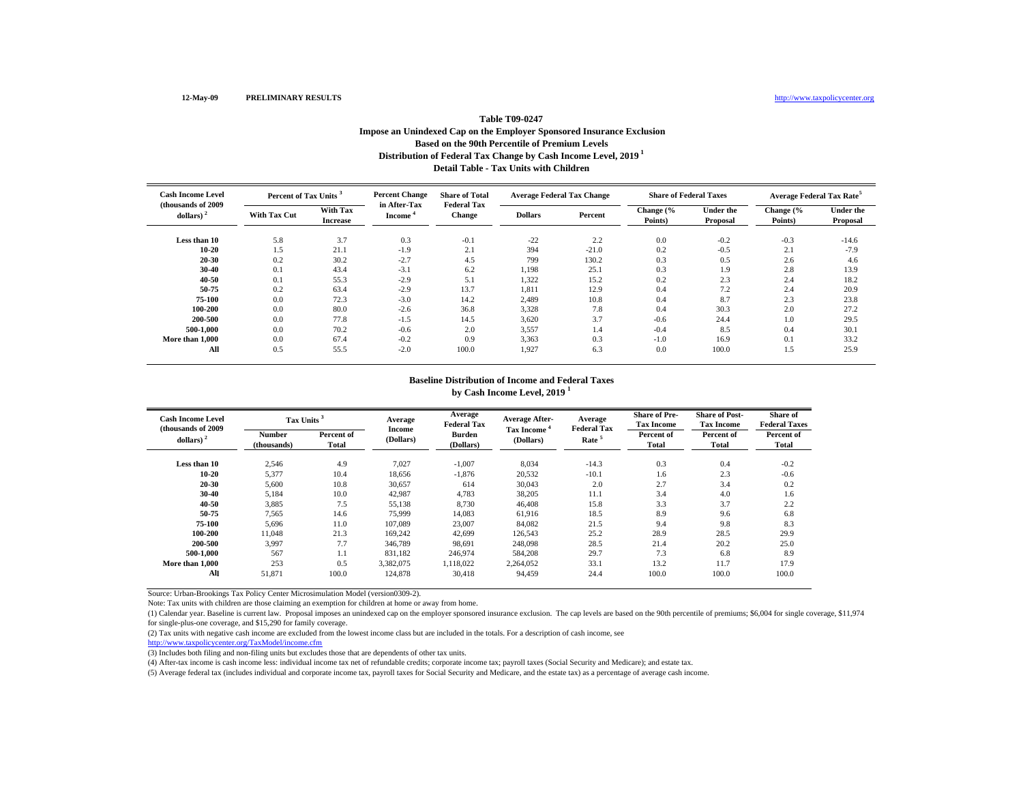# **Distribution of Federal Tax Change by Cash Income Level, 2019 1 Detail Table - Tax Units with Children Table T09-0247Impose an Unindexed Cap on the Employer Sponsored Insurance Exclusion Based on the 90th Percentile of Premium Levels**

| <b>Cash Income Level</b>            | Percent of Tax Units <sup>3</sup> |                                    | <b>Percent Change</b><br>in After-Tax | <b>Share of Total</b><br><b>Federal Tax</b> |                | <b>Average Federal Tax Change</b> | <b>Share of Federal Taxes</b> |                              | <b>Average Federal Tax Rate<sup>5</sup></b> |                              |
|-------------------------------------|-----------------------------------|------------------------------------|---------------------------------------|---------------------------------------------|----------------|-----------------------------------|-------------------------------|------------------------------|---------------------------------------------|------------------------------|
| (thousands of 2009)<br>dollars) $2$ | <b>With Tax Cut</b>               | <b>With Tax</b><br><b>Increase</b> | Income                                | Change                                      | <b>Dollars</b> | Percent                           | Change (%<br>Points)          | <b>Under the</b><br>Proposal | Change (%<br>Points)                        | <b>Under the</b><br>Proposal |
| Less than 10                        | 5.8                               | 3.7                                | 0.3                                   | $-0.1$                                      | $-22$          | 2.2                               | 0.0                           | $-0.2$                       | $-0.3$                                      | $-14.6$                      |
| $10 - 20$                           | 1.5                               | 21.1                               | $-1.9$                                | 2.1                                         | 394            | $-21.0$                           | 0.2                           | $-0.5$                       | 2.1                                         | $-7.9$                       |
| $20 - 30$                           | 0.2                               | 30.2                               | $-2.7$                                | 4.5                                         | 799            | 130.2                             | 0.3                           | 0.5                          | 2.6                                         | 4.6                          |
| 30-40                               | 0.1                               | 43.4                               | $-3.1$                                | 6.2                                         | 1,198          | 25.1                              | 0.3                           | 1.9                          | 2.8                                         | 13.9                         |
| 40-50                               | 0.1                               | 55.3                               | $-2.9$                                | 5.1                                         | 1,322          | 15.2                              | 0.2                           | 2.3                          | 2.4                                         | 18.2                         |
| 50-75                               | 0.2                               | 63.4                               | $-2.9$                                | 13.7                                        | 1,811          | 12.9                              | 0.4                           | 7.2                          | 2.4                                         | 20.9                         |
| 75-100                              | 0.0                               | 72.3                               | $-3.0$                                | 14.2                                        | 2,489          | 10.8                              | 0.4                           | 8.7                          | 2.3                                         | 23.8                         |
| 100-200                             | 0.0                               | 80.0                               | $-2.6$                                | 36.8                                        | 3.328          | 7.8                               | 0.4                           | 30.3                         | 2.0                                         | 27.2                         |
| 200-500                             | 0.0                               | 77.8                               | $-1.5$                                | 14.5                                        | 3,620          | 3.7                               | $-0.6$                        | 24.4                         | 1.0                                         | 29.5                         |
| 500-1.000                           | 0.0                               | 70.2                               | $-0.6$                                | 2.0                                         | 3,557          | 1.4                               | $-0.4$                        | 8.5                          | 0.4                                         | 30.1                         |
| More than 1,000                     | 0.0                               | 67.4                               | $-0.2$                                | 0.9                                         | 3,363          | 0.3                               | $-1.0$                        | 16.9                         | 0.1                                         | 33.2                         |
| All                                 | 0.5                               | 55.5                               | $-2.0$                                | 100.0                                       | 1.927          | 6.3                               | 0.0                           | 100.0                        | 1.5                                         | 25.9                         |

#### **Baseline Distribution of Income and Federal Taxes by Cash Income Level, 2019 <sup>1</sup>**

| <b>Cash Income Level</b><br>(thousands of 2009) |                              | Tax Units <sup>3</sup> |                     | Average<br><b>Federal Tax</b> | <b>Average After-</b>                | Average<br><b>Federal Tax</b> | <b>Share of Pre-</b><br><b>Tax Income</b> | <b>Share of Post-</b><br><b>Tax Income</b> | Share of<br><b>Federal Taxes</b> |
|-------------------------------------------------|------------------------------|------------------------|---------------------|-------------------------------|--------------------------------------|-------------------------------|-------------------------------------------|--------------------------------------------|----------------------------------|
| dollars) $2$                                    | <b>Number</b><br>(thousands) | Percent of<br>Total    | Income<br>(Dollars) | <b>Burden</b><br>(Dollars)    | Tax Income <sup>4</sup><br>(Dollars) | Rate <sup>5</sup>             | Percent of<br>Total                       | Percent of<br>Total                        | Percent of<br>Total              |
| Less than 10                                    | 2,546                        | 4.9                    | 7,027               | $-1,007$                      | 8,034                                | $-14.3$                       | 0.3                                       | 0.4                                        | $-0.2$                           |
| $10 - 20$                                       | 5,377                        | 10.4                   | 18,656              | $-1,876$                      | 20,532                               | $-10.1$                       | 1.6                                       | 2.3                                        | $-0.6$                           |
| 20-30                                           | 5,600                        | 10.8                   | 30,657              | 614                           | 30,043                               | 2.0                           | 2.7                                       | 3.4                                        | 0.2                              |
| 30-40                                           | 5,184                        | 10.0                   | 42,987              | 4,783                         | 38,205                               | 11.1                          | 3.4                                       | 4.0                                        | 1.6                              |
| 40-50                                           | 3,885                        | 7.5                    | 55,138              | 8,730                         | 46,408                               | 15.8                          | 3.3                                       | 3.7                                        | 2.2                              |
| 50-75                                           | 7,565                        | 14.6                   | 75,999              | 14,083                        | 61,916                               | 18.5                          | 8.9                                       | 9.6                                        | 6.8                              |
| 75-100                                          | 5,696                        | 11.0                   | 107,089             | 23,007                        | 84,082                               | 21.5                          | 9.4                                       | 9.8                                        | 8.3                              |
| 100-200                                         | 11.048                       | 21.3                   | 169,242             | 42.699                        | 126.543                              | 25.2                          | 28.9                                      | 28.5                                       | 29.9                             |
| 200-500                                         | 3.997                        | 7.7                    | 346,789             | 98.691                        | 248,098                              | 28.5                          | 21.4                                      | 20.2                                       | 25.0                             |
| 500-1.000                                       | 567                          | 1.1                    | 831,182             | 246,974                       | 584,208                              | 29.7                          | 7.3                                       | 6.8                                        | 8.9                              |
| More than 1,000                                 | 253                          | 0.5                    | 3,382,075           | 1,118,022                     | 2.264,052                            | 33.1                          | 13.2                                      | 11.7                                       | 17.9                             |
| All                                             | 51,871                       | 100.0                  | 124,878             | 30,418                        | 94,459                               | 24.4                          | 100.0                                     | 100.0                                      | 100.0                            |

Source: Urban-Brookings Tax Policy Center Microsimulation Model (version0309-2).

Note: Tax units with children are those claiming an exemption for children at home or away from home.

(1) Calendar year. Baseline is current law. Proposal imposes an unindexed cap on the employer sponsored insurance exclusion. The cap levels are based on the 90th percentile of premiums; \$6,004 for single coverage, \$11,974 for single-plus-one coverage, and \$15,290 for family coverage.

(2) Tax units with negative cash income are excluded from the lowest income class but are included in the totals. For a description of cash income, see

http://www.taxpolicycenter.org/TaxModel/income.cfm

(3) Includes both filing and non-filing units but excludes those that are dependents of other tax units.

(4) After-tax income is cash income less: individual income tax net of refundable credits; corporate income tax; payroll taxes (Social Security and Medicare); and estate tax.